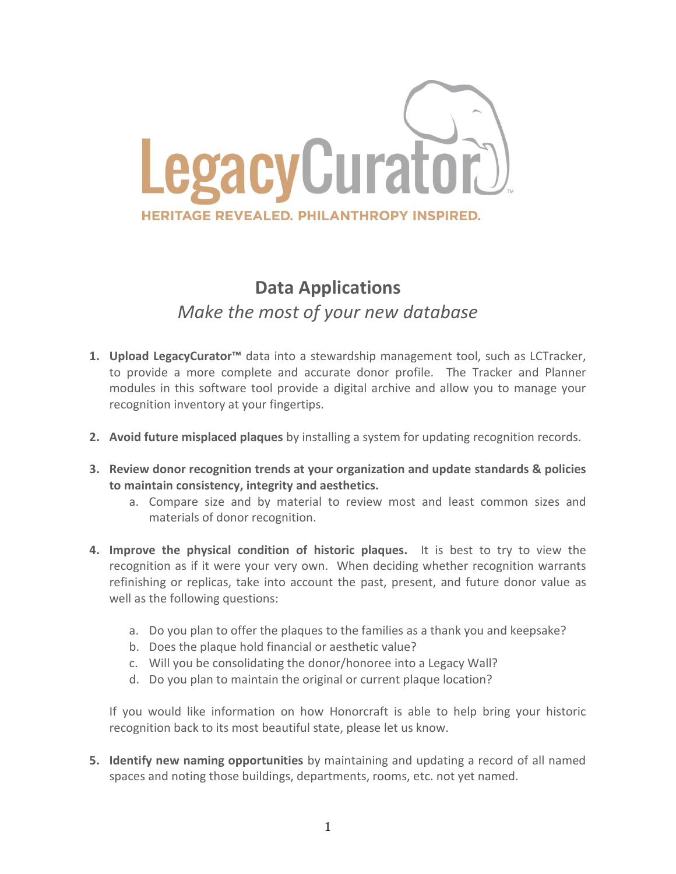

## **Data Applications** *Make the most of your new database*

- **1. Upload LegacyCurator™** data into a stewardship management tool, such as LCTracker, to provide a more complete and accurate donor profile. The Tracker and Planner modules in this software tool provide a digital archive and allow you to manage your recognition inventory at your fingertips.
- **2. Avoid future misplaced plaques** by installing a system for updating recognition records.
- **3. Review donor recognition trends at your organization and update standards & policies to maintain consistency, integrity and aesthetics.**
	- a. Compare size and by material to review most and least common sizes and materials of donor recognition.
- **4. Improve the physical condition of historic plaques.** It is best to try to view the recognition as if it were your very own. When deciding whether recognition warrants refinishing or replicas, take into account the past, present, and future donor value as well as the following questions:
	- a. Do you plan to offer the plaques to the families as a thank you and keepsake?
	- b. Does the plaque hold financial or aesthetic value?
	- c. Will you be consolidating the donor/honoree into a Legacy Wall?
	- d. Do you plan to maintain the original or current plaque location?

If you would like information on how Honorcraft is able to help bring your historic recognition back to its most beautiful state, please let us know.

**5. Identify new naming opportunities** by maintaining and updating a record of all named spaces and noting those buildings, departments, rooms, etc. not yet named.